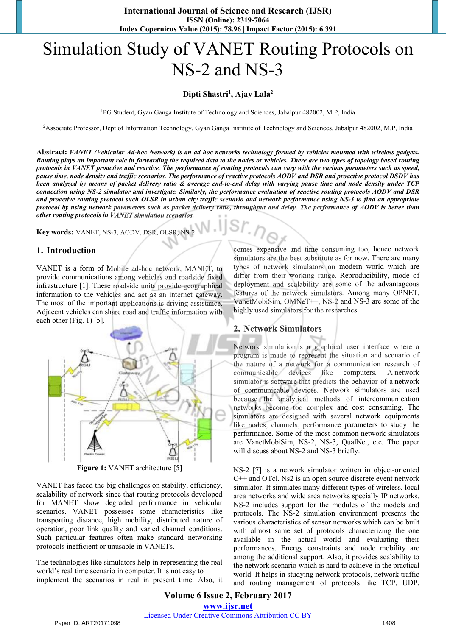# Simulation Study of VANET Routing Protocols on NS-2 and NS-3

#### Dipti Shastri<sup>1</sup>, Ajay Lala<sup>2</sup>

1PG Student, Gyan Ganga Institute of Technology and Sciences, Jabalpur 482002, M.P, India

2Associate Professor, Dept of Information Technology, Gyan Ganga Institute of Technology and Sciences, Jabalpur 482002, M.P, India

**Abstract:** *VANET (Vehicular Ad-hoc Network) is an ad hoc networks technology formed by vehicles mounted with wireless gadgets. Routing plays an important role in forwarding the required data to the nodes or vehicles. There are two types of topology based routing protocols in VANET proactive and reactive. The performance of routing protocols can vary with the various parameters such as speed, pause time, node density and traffic scenarios. The performance of reactive protocols AODV and DSR and proactive protocol DSDV has been analyzed by means of packet delivery ratio & average end-to-end delay with varying pause time and node density under TCP connection using NS-2 simulator and investigate. Similarly, the performance evaluation of reactive routing protocols AODV and DSR and proactive routing protocol such OLSR in urban city traffic scenario and network performance using NS-3 to find an appropriate protocol by using network parameters such as packet delivery ratio, throughput and delay. The performance of AODV is better than other routing protocols in VANET simulation scenarios.* 

**Key words:** VANET, NS-3, AODV, DSR, OLSR, NS-2

#### **1. Introduction**

VANET is a form of Mobile ad-hoc network, MANET, to provide communications among vehicles and roadside fixed infrastructure [1]. These roadside units provide geographical information to the vehicles and act as an internet gateway. The most of the important applications is driving assistance. Adjacent vehicles can share road and traffic information with each other (Fig. 1) [5].



**Figure 1:** VANET architecture [5]

VANET has faced the big challenges on stability, efficiency, scalability of network since that routing protocols developed for MANET show degraded performance in vehicular scenarios. VANET possesses some characteristics like transporting distance, high mobility, distributed nature of operation, poor link quality and varied channel conditions. Such particular features often make standard networking protocols inefficient or unusable in VANETs.

The technologies like simulators help in representing the real world's real time scenario in computer. It is not easy to implement the scenarios in real in present time. Also, it

comes expensive and time consuming too, hence network simulators are the best substitute as for now. There are many types of network simulators on modern world which are differ from their working range. Reproducibility, mode of deployment and scalability are some of the advantageous features of the network simulators. Among many OPNET, VanetMobiSim, OMNeT++, NS-2 and NS-3 are some of the highly used simulators for the researches. re the best substitute as for now. There are many<br>twork simulators on modern world which are<br>their working range. Reproducibility, mode of<br>and scalability are some of the advantageous<br>the network simulators. Among many OPN

#### **2. Network Simulators**

Network simulation is a graphical user interface where a program is made to represent the situation and scenario of the nature of a network for a communication research of communicable devices like computers. A network simulator is software that predicts the behavior of a network of communicable devices. Network simulators are used because the analytical methods of intercommunication networks become too complex and cost consuming. The simulators are designed with several network equipments like nodes, channels, performance parameters to study the performance. Some of the most common network simulators are VanetMobiSim, NS-2, NS-3, QualNet, etc. The paper will discuss about NS-2 and NS-3 briefly.

NS-2 [7] is a network simulator written in object-oriented C++ and OTcl. Ns2 is an open source discrete event network simulator. It simulates many different types of wireless, local area networks and wide area networks specially IP networks. NS-2 includes support for the modules of the models and protocols. The NS-2 simulation environment presents the various characteristics of sensor networks which can be built with almost same set of protocols characterizing the one available in the actual world and evaluating their performances. Energy constraints and node mobility are among the additional support. Also, it provides scalability to the network scenario which is hard to achieve in the practical world. It helps in studying network protocols, network traffic and routing management of protocols like TCP, UDP,

**Volume 6 Issue 2, February 2017 <www.ijsr.net>** [Licensed Under Creative Commons Attribution CC BY](http://creativecommons.org/licenses/by/4.0/)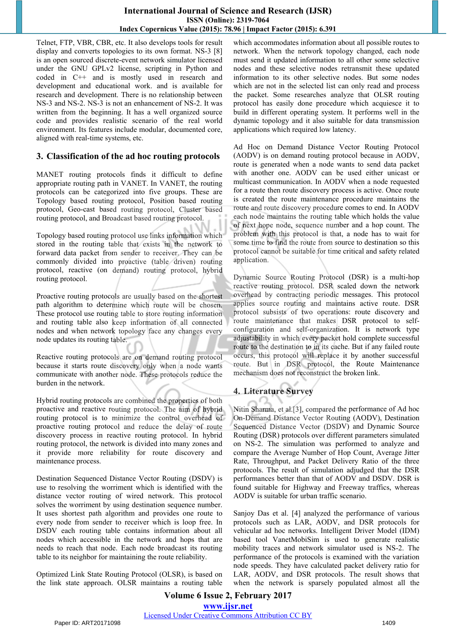#### **International Journal of Science and Research (IJSR) ISSN (Online): 2319-7064 Index Copernicus Value (2015): 78.96 | Impact Factor (2015): 6.391**

Telnet, FTP, VBR, CBR, etc. It also develops tools for result display and converts topologies to its own format. NS-3 [8] is an open sourced discrete-event network simulator licensed under the GNU GPLv2 license, scripting in Python and coded in C++ and is mostly used in research and development and educational work. and is available for research and development. There is no relationship between NS-3 and NS-2. NS-3 is not an enhancement of NS-2. It was written from the beginning. It has a well organized source code and provides realistic scenario of the real world environment. Its features include modular, documented core, aligned with real-time systems, etc.

#### **3. Classification of the ad hoc routing protocols**

MANET routing protocols finds it difficult to define appropriate routing path in VANET. In VANET, the routing protocols can be categorized into five groups. These are Topology based routing protocol, Position based routing protocol, Geo-cast based routing protocol, Cluster based routing protocol, and Broadcast based routing protocol.

Topology based routing protocol use links information which stored in the routing table that exists in the network to forward data packet from sender to receiver. They can be commonly divided into proactive (table driven) routing protocol, reactive (on demand) routing protocol, hybrid routing protocol.

Proactive routing protocols are usually based on the shortest path algorithm to determine which route will be chosen. These protocol use routing table to store routing information and routing table also keep information of all connected nodes and when network topology face any changes every node updates its routing table.

Reactive routing protocols are on demand routing protocol because it starts route discovery only when a node wants communicate with another node. These protocols reduce the burden in the network.

Hybrid routing protocols are combined the properties of both proactive and reactive routing protocol. The aim of hybrid routing protocol is to minimize the control overhead of proactive routing protocol and reduce the delay of route discovery process in reactive routing protocol. In hybrid routing protocol, the network is divided into many zones and it provide more reliability for route discovery and maintenance process.

Destination Sequenced Distance Vector Routing (DSDV) is use to resolving the worriment which is identified with the distance vector routing of wired network. This protocol solves the worriment by using destination sequence number. It uses shortest path algorithm and provides one route to every node from sender to receiver which is loop free. In DSDV each routing table contains information about all nodes which accessible in the network and hops that are needs to reach that node. Each node broadcast its routing table to its neighbor for maintaining the route reliability.

Optimized Link State Routing Protocol (OLSR), is based on the link state approach. OLSR maintains a routing table which accommodates information about all possible routes to network. When the network topology changed, each node must send it updated information to all other some selective nodes and these selective nodes retransmit these updated information to its other selective nodes. But some nodes which are not in the selected list can only read and process the packet. Some researches analyze that OLSR routing protocol has easily done procedure which acquiesce it to build in different operating system. It performs well in the dynamic topology and it also suitable for data transmission applications which required low latency.

Ad Hoc on Demand Distance Vector Routing Protocol (AODV) is on demand routing protocol because in AODV, route is generated when a node wants to send data packet with another one. AODV can be used either unicast or multicast communication. In AODV when a node requested for a route then route discovery process is active. Once route is created the route maintenance procedure maintains the route and route discovery procedure comes to end. In AODV each node maintains the routing table which holds the value of next hope node, sequence number and a hop count. The problem with this protocol is that, a node has to wait for some time to find the route from source to destination so this protocol cannot be suitable for time critical and safety related application. route and route discovery procedure comes to end. In AODV each node maintains the routing table which holds the value of next hope node, sequence number and a hop count. The problem with this protocol is that, a node has t

Dynamic Source Routing Protocol (DSR) is a multi-hop reactive routing protocol. DSR scaled down the network overhead by contracting periodic messages. This protocol applies source routing and maintains active route. DSR protocol subsists of two operations: route discovery and route maintenance that makes DSR protocol to selfconfiguration and self-organization. It is network type adjustability in which every packet hold complete successful route to the destination to in its cache. But if any failed route occurs, this protocol will replace it by another successful route. But in DSR protocol, the Route Maintenance mechanism does not reconstruct the broken link. overhead by contracting periodic messages. This protocol<br>applies source routing and maintains active route. DSR<br>protocol subsists of two operations: route discovery and<br>route maintenance that makes DSR protocol to self-<br>co

## **4. Literature Survey**

Nitin Sharma, et al.[3], compared the performance of Ad hoc On-Demand Distance Vector Routing (AODV), Destination Sequenced Distance Vector (DSDV) and Dynamic Source Routing (DSR) protocols over different parameters simulated on NS-2. The simulation was performed to analyze and compare the Average Number of Hop Count, Average Jitter Rate, Throughput, and Packet Delivery Ratio of the three protocols. The result of simulation adjudged that the DSR performances better than that of AODV and DSDV. DSR is found suitable for Highway and Freeway traffics, whereas AODV is suitable for urban traffic scenario.

Sanjoy Das et al. [4] analyzed the performance of various protocols such as LAR, AODV, and DSR protocols for vehicular ad hoc networks. Intelligent Driver Model (IDM) based tool VanetMobiSim is used to generate realistic mobility traces and network simulator used is NS-2. The performance of the protocols is examined with the variation node speeds. They have calculated packet delivery ratio for LAR, AODV, and DSR protocols. The result shows that when the network is sparsely populated almost all the

**Volume 6 Issue 2, February 2017 <www.ijsr.net>** [Licensed Under Creative Commons Attribution CC BY](http://creativecommons.org/licenses/by/4.0/)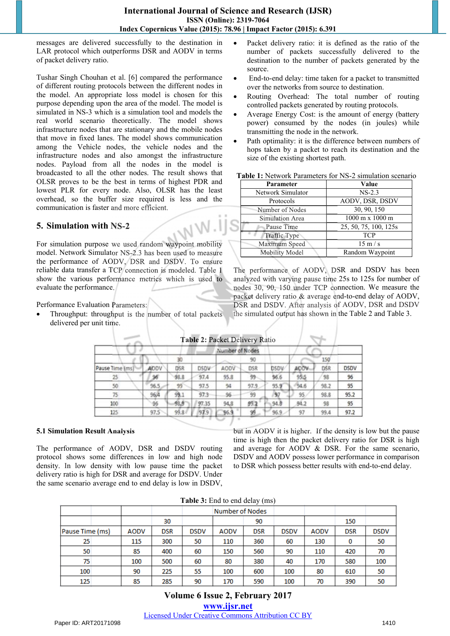messages are delivered successfully to the destination in LAR protocol which outperforms DSR and AODV in terms of packet delivery ratio.

Tushar Singh Chouhan et al. [6] compared the performance of different routing protocols between the different nodes in the model. An appropriate loss model is chosen for this purpose depending upon the area of the model. The model is simulated in NS-3 which is a simulation tool and models the real world scenario theoretically. The model shows infrastructure nodes that are stationary and the mobile nodes that move in fixed lanes. The model shows communication among the Vehicle nodes, the vehicle nodes and the infrastructure nodes and also amongst the infrastructure nodes. Payload from all the nodes in the model is broadcasted to all the other nodes. The result shows that OLSR proves to be the best in terms of highest PDR and lowest PLR for every node. Also, OLSR has the least overhead, so the buffer size required is less and the communication is faster and more efficient.

#### **5. Simulation with NS-2**

For simulation purpose we used random waypoint mobility model. Network Simulator NS-2.3 has been used to measure the performance of AODV, DSR and DSDV. To ensure reliable data transfer a TCP connection is modeled. Table 1 show the various performance metrics which is used to evaluate the performance. Simulation Area<br>
Pause Time<br>
Fraffic Type<br>
S-2.3 has been used to measure<br>
DSR and DSDV. To ensure<br>
connection is modeled. Table 1<br>
The performance of<br>
notice metrics which is used to<br>
analyzed with varying<br>
nodes 30, 90,

Performance Evaluation Parameters:

 Throughput: throughput is the number of total packets delivered per unit time.

96.5

96/4

96

97.5

99

99.1

98.9

 $99.84$ 

97.5

 $97.3$ 

97.35

97.9

Pause Time (  $25$ 

50

75

100

125

- Packet delivery ratio: it is defined as the ratio of the number of packets successfully delivered to the destination to the number of packets generated by the source.
- End-to-end delay: time taken for a packet to transmitted over the networks from source to destination.
- Routing Overhead: The total number of routing controlled packets generated by routing protocols.
- Average Energy Cost: is the amount of energy (battery power) consumed by the nodes (in joules) while transmitting the node in the network.
- Path optimality: it is the difference between numbers of hops taken by a packet to reach its destination and the size of the existing shortest path.

**Table 1:** Network Parameters for NS-2 simulation scenario

| Parameter         | Value                                  |
|-------------------|----------------------------------------|
| Network Simulator | $NS-2.3$                               |
| Protocols         | AODV, DSR, DSDV                        |
| Number of Nodes   | 30, 90, 150                            |
| Simulation Area   | $1000 \text{ m} \times 1000 \text{ m}$ |
| Pause Time        | 25, 50, 75, 100, 125s                  |
| Traffic Type      | <b>TCP</b>                             |
| Maximum Speed     | $15 \text{ m/s}$                       |
| Mobility Model    | Random Waypoint                        |

The performance of AODV, DSR and DSDV has been analyzed with varying pause time 25s to 125s for number of nodes 30, 90, 150 under TCP connection. We measure the packet delivery ratio & average end-to-end delay of AODV, DSR and DSDV. After analysis of AODV, DSR and DSDV the simulated output has shown in the Table 2 and Table 3.

DSDV

96

95

95.2

95

97.2

|             |            |             | Table 2: Packet Delivery Ratio |            |             |      |     |
|-------------|------------|-------------|--------------------------------|------------|-------------|------|-----|
|             |            |             | Number of Nodes                |            |             |      |     |
|             |            |             |                                |            |             |      | 50  |
| <b>AODV</b> | <b>DSR</b> | <b>DSDV</b> | AODV                           | <b>DSR</b> | <b>DSDV</b> | AODV | nsi |
|             |            |             |                                |            |             | 95.5 | 98  |

94

96

94.8

 $96.9$ 

97.9

99

 $99.2$ 

95

95.9

97

 $94.8$ 

96.9

94.6

95

 $91.7$ 

97

#### **5.1 Simulation Result Analysis**

The performance of AODV, DSR and DSDV routing protocol shows some differences in low and high node density. In low density with low pause time the packet delivery ratio is high for DSR and average for DSDV. Under the same scenario average end to end delay is low in DSDV,

but in AODV it is higher. If the density is low but the pause time is high then the packet delivery ratio for DSR is high and average for AODV & DSR. For the same scenario, DSDV and AODV possess lower performance in comparison to DSR which possess better results with end-to-end delay.

98.2

98.8

98

99.4

| Table 3: End to end delay (ms) |  |  |  |  |  |  |  |  |
|--------------------------------|--|--|--|--|--|--|--|--|
|--------------------------------|--|--|--|--|--|--|--|--|

|                 |             |            |             |                        | $\sim$ $\sim$ |             |             |            |             |
|-----------------|-------------|------------|-------------|------------------------|---------------|-------------|-------------|------------|-------------|
|                 |             |            |             | <b>Number of Nodes</b> |               |             |             |            |             |
|                 |             | 30         |             |                        | 90            |             |             | 150        |             |
| Pause Time (ms) | <b>AODV</b> | <b>DSR</b> | <b>DSDV</b> | <b>AODV</b>            | <b>DSR</b>    | <b>DSDV</b> | <b>AODV</b> | <b>DSR</b> | <b>DSDV</b> |
| 25              | 115         | 300        | 50          | 110                    | 360           | 60          | 130         | 0          | 50          |
| 50              | 85          | 400        | 60          | 150                    | 560           | 90          | 110         | 420        | 70          |
| 75              | 100         | 500        | 60          | 80                     | 380           | 40          | 170         | 580        | 100         |
| 100             | 90          | 225        | 55          | 100                    | 600           | 100         | 80          | 610        | 50          |
| 125             | 85          | 285        | 90          | 170                    | 590           | 100         | 70          | 390        | 50          |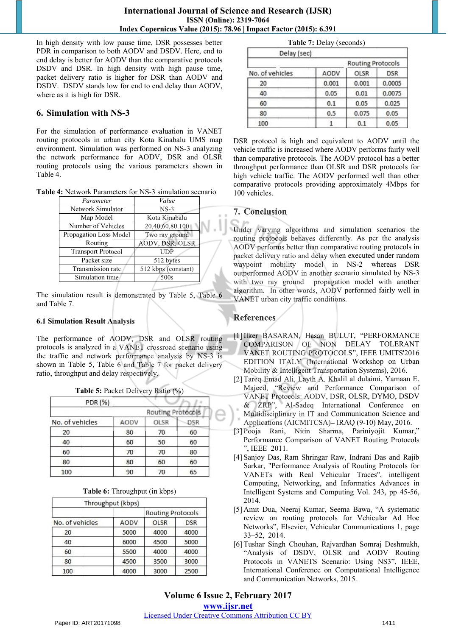In high density with low pause time, DSR possesses better PDR in comparison to both AODV and DSDV. Here, end to end delay is better for AODV than the comparative protocols DSDV and DSR. In high density with high pause time, packet delivery ratio is higher for DSR than AODV and DSDV. DSDV stands low for end to end delay than AODV, where as it is high for DSR.

#### **6. Simulation with NS-3**

For the simulation of performance evaluation in VANET routing protocols in urban city Kota Kinabalu UMS map environment. Simulation was performed on NS-3 analyzing the network performance for AODV, DSR and OLSR routing protocols using the various parameters shown in Table 4.

**Table 4:** Network Parameters for NS-3 simulation scenario

| Value               |  |
|---------------------|--|
| $NS-3$              |  |
| Kota Kinabalu       |  |
| 20,40,60,80.100     |  |
| Two ray ground      |  |
| AODV, DSR, OLSR     |  |
| UDP                 |  |
| 512 bytes           |  |
| 512 kbps (constant) |  |
| 500s                |  |
|                     |  |

The simulation result is demonstrated by Table 5, Table 6 and Table 7.

#### **6.1 Simulation Result Analysis**

The performance of AODV, DSR and OLSR routing protocols is analyzed in a VANET crossroad scenario using the traffic and network performance analysis by NS-3 is shown in Table 5, Table 6 and Table 7 for packet delivery ratio, throughput and delay respectively.

| Table 5: Packet Delivery Ratio (%) |  |  |  |  |  |
|------------------------------------|--|--|--|--|--|
|------------------------------------|--|--|--|--|--|

| PDR (%)         |      |                   |            |
|-----------------|------|-------------------|------------|
|                 |      | Routing Protocols |            |
| No. of vehicles | AODV | <b>OLSR</b>       | <b>DSR</b> |
| 20              | 80   | 70                | 60         |
| 40              | 60   | 50                | 60         |
| 60              | 70   | 70                | 80         |
| 80              | 80   | 60                | 60         |
| 100             | 90   | 70                | 65         |

|  | Table 6: Throughput (in kbps) |  |  |  |
|--|-------------------------------|--|--|--|
|--|-------------------------------|--|--|--|

| Throughput (kbps) |                          |            |  |
|-------------------|--------------------------|------------|--|
|                   | <b>Routing Protocols</b> |            |  |
| AODV              | OLSR                     | <b>DSR</b> |  |
| 5000              | 4000                     | 4000       |  |
| 6000              | 4500                     | 5000       |  |
| 5500              | 4000                     | 4000       |  |
| 4500              | 3500                     | 3000       |  |
| 4000              | 3000                     | 2500       |  |
|                   |                          |            |  |

|             | <b>Table 7: Delay (seconds)</b> |                          |            |
|-------------|---------------------------------|--------------------------|------------|
| Delay (sec) |                                 |                          |            |
|             |                                 | <b>Routing Protocols</b> |            |
| fvehicles   | AODV                            | OLSR                     | <b>DSR</b> |
|             |                                 |                          |            |

| No. of vehicles | AODV  | OLSR  | <b>DSR</b> |
|-----------------|-------|-------|------------|
| 20              | 0.001 | 0.001 | 0.0005     |
| 40              | 0.05  | 0.01  | 0.0075     |
| 60              | 0.1   | 0.05  | 0.025      |
| 80              | 0.5   | 0.075 | 0.05       |
| 100             |       | 0.1   | 0.05       |

DSR protocol is high and equivalent to AODV until the vehicle traffic is increased where AODV performs fairly well than comparative protocols. The AODV protocol has a better throughput performance than OLSR and DSR protocols for high vehicle traffic. The AODV performed well than other comparative protocols providing approximately 4Mbps for 100 vehicles.

#### **7. Conclusion 7.**

Under varying algorithms and simulation scenarios the routing protocols behaves differently. As per the analysis AODV performs better than comparative routing protocols in packet delivery ratio and delay when executed under random waypoint mobility model in NS-2 whereas DSR outperformed AODV in another scenario simulated by NS-3 NSwith two ray ground propagation model with another algorithm. In other words, AODV performed fairly well in VANET urban city traffic conditions. VANET urban city traffic conditions.

### **References**

- [1] Ilker BASARAN, Hasan BULUT, "PERFORMANCE COMPARISON OF NON DELAY TOLERANT VANET ROUTING PROTOCOLS", IEEE UMITS'2016 EDITION ITALY (International Workshop on Urban Mobility & Intelligent Transportation Systems), 2016. Ilker BASARAN, Hasan BULUT, "PERFORMANCE<br>COMPARISON OF NON DELAY TOLERANT<br>VANET ROUTING PROTOCOLS", IEEE UMITS'2016
- [2] Tareq Emad Ali, Layth A. Khalil al dulaimi, Yamaan E. Majeed, "Review and Performance Comparison of VANET Protocols: AODV, DSR, OLSR, DYMO, DSDV & ZRP", Al-Sadeq International Conference on Multidisciplinary in IT and Communication Science and Majeed, "Review and Performance Comparison<br>
VANET Protocols: AODV, DSR, OLSR, DYMO, DSD<br>
& ZRP", Al-Sadeq International Conference of<br>
Multidisciplinary in IT and Communication Science ar<br>
Applications (AICMITCSA)– IRAQ (9
- [3] Pooja Rani, Nitin Sharma, Pariniyojit Kumar," Performance Comparison of VANET Routing Protocols ", IEEE 2011.
- [4] Sanjoy Das, Ram Shringar Raw, Indrani Das and Rajib Sarkar, "Performance Analysis of Routing Protocols for VANETs with Real Vehicular Traces", intelligent Computing, Networking, and Informatics Advances in Intelligent Systems and Computing Vol. 243, pp 45-56, 2014.
- [5] Amit Dua, Neeraj Kumar, Seema Bawa, "A systematic review on routing protocols for Vehicular Ad Hoc Networks", Elsevier, Vehicular Communications 1, page 33–52, 2014.
- [6] Tushar Singh Chouhan, Rajvardhan Somraj Deshmukh, "Analysis of DSDV, OLSR and AODV Routing Protocols in VANETS Scenario: Using NS3", IEEE, International Conference on Computational Intelligence and Communication Networks, 2015.

**Volume 6 Issue 2, February 2017 <www.ijsr.net>** [Licensed Under Creative Commons Attribution CC BY](http://creativecommons.org/licenses/by/4.0/)